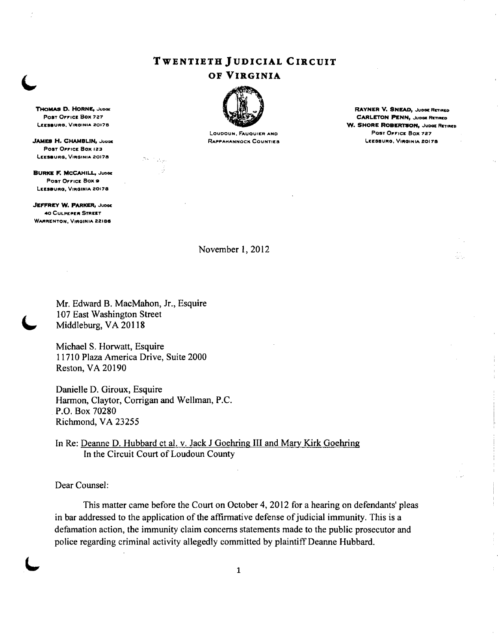# TWENTIETH JUDICIAL CIRCUIT



LOUDOUN, FAUQUIER AND

POST OFFICE BOX 727 **CARLETON PENN, Juose Renned** WATER AND THE SERVICE ON A SHORE ROBERTSON, Juose Renned Legendal CARLETON PENN, Juose Renned Renned Renned Renned Renned Renned Renned Renned Renned Renned Renned Renned R W. SHORE ROBERTSON, JUDGE RETIRED.<br>POST OFFICE BOX 727 JAMES H. CHAMBLIN, .JuDae R..PP ......NNOCK COUNTIES LU:SIIUItG, V'ltGINIA 201711

÷.

Post Office Box 123 LEESBURG, VIRGINIA 20178

**BURKE F. MCCAHILL, JUDGE** Post Orrica Box 9 LEESBURG, VIRGINIA 20178

**JEFFREY W. PARKER, JUDGE** 40 CULPEPItIt STREET WARRENTON, VIRGINIA 22186

November I, 2012

Mr. Edward B. MacMahon, Jr., Esquire 107 East Washington Street Middleburg, VA 20118

San Lige J.

Michael S. Horwatt, Esquire 11710 Plaza America Drive, Suite 2000 Reston, VA 20190

Danielle D. Giroux, Esquire Harmon, Claytor, Corrigan and Wellman, P.C. . P.O. Box 70280 Richmond, VA 23255

In Re: Deanne D. Hubbard et al. v. Jack J Goehring III and Mary Kirk Goehring In the Circuit Court of Loudoun County

Dear Counsel:

This matter came before the Court on October 4, 2012 for a hearing on defendants' pleas in bar addressed to the application of the affirmative defense of judicial immunity. This is a defamation action, the immunity claim concerns statements made to the public prosecutor and police regarding criminal activity allegedly committed by plaintiff Deanne Hubbard.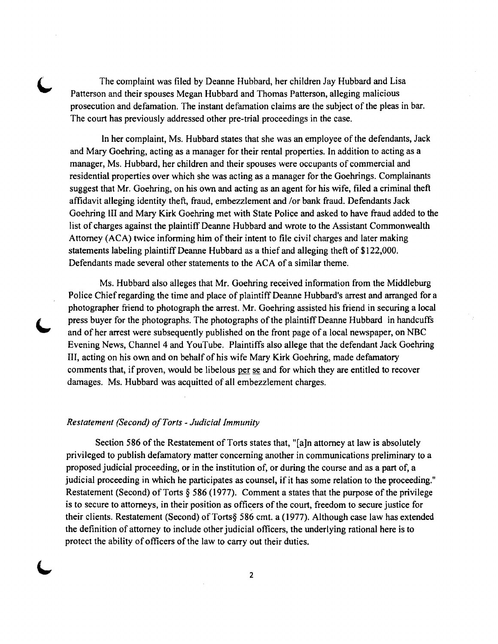The complaint was filed by Deanne Hubbard, her children Jay Hubbard and Lisa Patterson and their spouses Megan Hubbard and Thomas Patterson, alleging malicious prosecution and defamation. The instant defamation claims are the subject of the pleas in bar. The court has previously addressed other pre-trial proceedings in the case.

In her complaint, Ms. Hubbard states that she was an employee of the defendants, Jack and Mary Goehring, acting as a manager for their rental properties. In addition to acting as a manager, Ms. Hubbard, her children and their spouses were occupants of commercial and residential properties over which she was acting as a manager for the Goehrings. Complainants suggest that Mr. Goehring, on his own and acting as an agent for his wife, filed a criminal theft affidavit alleging identity theft, fraud, embezzlement and *lor* bank fraud. Defendants Jack Goehring III and Mary Kirk Goehring met with State Police and asked to have fraud added to the list of charges against the plaintiff Deanne Hubbard and wrote to the Assistant Commonwealth Attorney (ACA) twice informing him of their intent to file civil charges and later making statements labeling plaintiff Deanne Hubbard as a thief and alleging theft of \$122,000. Defendants made several other statements to the ACA of a similar theme.

Ms. Hubbard also alleges that Mr. Goehring received information from the Middleburg Police Chief regarding the time and place of plaintiff Deanne Hubbard's arrest and arranged for a photographer friend to photograph the arrest. Mr. Goehring assisted his friend in securing a local press buyer for the photographs. The photographs of the plaintiff Deanne Hubbard in handcuffs and of her arrest were subsequently published on the front page of a local newspaper, on NBC Evening News, Channel 4 and YouTube. Plaintiffs also allege that the defendant Jack Goehring III, acting on his own and on behalf of his wife Mary Kirk Goehring, made defamatory comments that, if proven, would be libelous per se and for which they are entitled to recover damages. Ms. Hubbard was acquitted of all embezzlement charges.

### *Restatement (Second) ofTorts* - *Judicial Immunity*

Section 586 of the Restatement of Torts states that, "[a]n attorney at law is absolutely privileged to publish defamatory matter concerning another in communications preliminary to a proposed judicial proceeding, or in the institution of, or during the course and as a part of, a judicial proceeding in which he participates as counsel, if it has some relation to the proceeding." Restatement (Second) of Torts § 586 (1977). Comment a states that the purpose of the privilege is to secure to attorneys, in their position as officers of the court, freedom to secure justice for their clients. Restatement (Second) of Torts§ 586 cmt. a (1977). Although case law has extended the definition of attorney to include other judicial officers, the underlying rational here is to protect the ability of officers of the law to carry out their duties.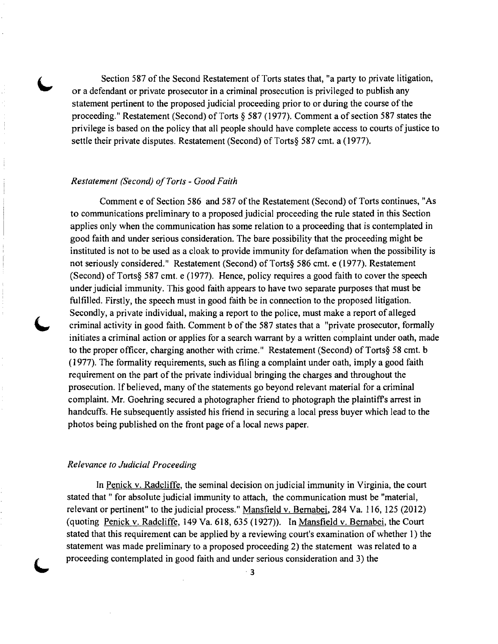Section 587 of the Second Restatement of Torts states that, "a party to private litigation, or a defendant or private prosecutor in a criminal prosecution is privileged to publish any statement pertinent to the proposed judicial proceeding prior to or during the course of the proceeding." Restatement (Second) of Torts § 587 (1977). Comment a of section 587 states the privilege is based on the policy that all people should have complete access to courts of justice to settle their private disputes. Restatement (Second) of Torts§ 587 cmt. a (1977).

### *Restatement (Second) ofTorts* - *Good Faith*

Comment e of Section 586 and 587 of the Restatement (Second) of Torts continues, "As to communications preliminary to a proposed judicial proceeding the rule stated in this Section applies only when the communication has some relation to a proceeding that is contemplated in good faith and under serious consideration. The bare possibility that the proceeding might be instituted is not to be used as a cloak to provide immunity for defamation when the possibility is not seriously considered." Restatement (Second) of Torts§ 586 cmt. e (1977). Restatement (Second) of Torts§ 587 cmt. e (1977). Hence, policy requires a good faith to cover the speech under judicial immunity. This good faith appears to have two separate purposes that must be fulfilled. Firstly, the speech must in good faith be in connection to the proposed litigation. Secondly, a private individual, making a report to the police, must make a report of alleged criminal activity in good faith. Comment b of the 587 states that a "private prosecutor, formally initiates a criminal action or applies for a search warrant by a written complaint under oath, made to the proper officer, charging another with crime." Restatement (Second) of Torts§ 58 cmt. b (1977). The formality requirements, such as filing a complaint under oath, imply a good faith requirement on the part of the private individual bringing the charges and throughout the prosecution. If believed, many of the statements go beyond relevant material for a criminal complaint. Mr. Goehring secured a photographer friend to photograph the plaintiffs arrest in handcuffs. He subsequently assisted his friend in securing a local press buyer which lead to the photos being published on the front page of a local news paper.

#### *Relevance to Judicial Proceeding*

In Penick v. Radcliffe, the seminal decision on judicial immunity in Virginia, the court stated that" for absolute judicial immunity to attach, the communication must be "material, relevant or pertinent" to the judicial process." Mansfield v. Bernabei, 284 Va. 116, 125 (2012) (quoting Penick v. Radcliffe, 149 Va. 618, 635 (1927)). In Mansfield v. Bernabei, the Court stated that this requirement can be applied by a reviewing court's examination of whether I) the statement was made preliminary to a proposed proceeding 2) the statement was related to a proceeding contemplated in good faith and under serious consideration and 3) the

·3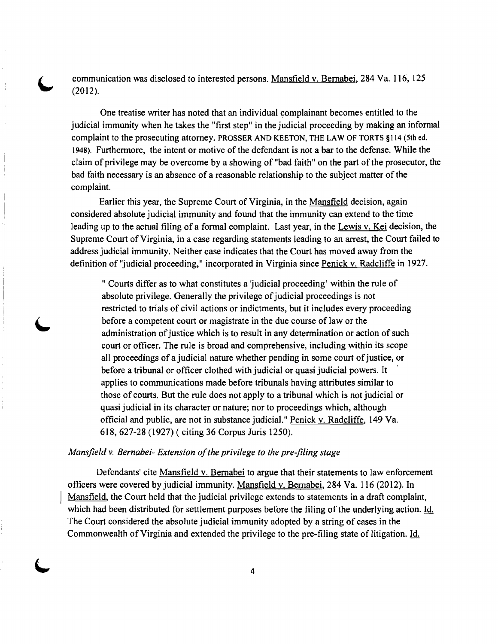communication was disclosed to interested persons. Mansfield v. Bernabei, 284 Va. 116, 125 (2012).

One treatise writer has noted that an individual complainant becomes entitled to the judicial immunity when he takes the "first step" in the judicial proceeding by making an informal complaint to the prosecuting attorney. PROSSER AND KEETON, THE LAW OF TORTS §114 (5th ed. 1948). Furthermore, the intent or motive of the defendant is not a bar to the defense. While the claim of privilege may be overcome by a showing of "bad faith" on the part of the prosecutor, the bad faith necessary is an absence of a reasonable relationship to the subject matter of the complaint.

Earlier this year, the Supreme Court of Virginia, in the Mansfield decision, again considered absolute judicial immunity and found that the immunity can extend to the time leading up to the actual filing of a formal complaint. Last year, in the Lewis v. Kei decision, the Supreme Court of Virginia, in a case regarding statements leading to an arrest, the Court failed to address judicial immunity. Neither case indicates that the Court has moved away from the definition of "judicial proceeding," incorporated in Virginia since Penick v. Radcliffe in 1927.

" Courts differ as to what constitutes a 'judicial proceeding' within the rule of absolute privilege. Generally the privilege of judicial proceedings is not restricted to trials of civil actions or indictments, but it includes every proceeding before a competent court or magistrate in the due course of law or the administration of justice which is to result in any determination or action of such court or officer. The rule is broad and comprehensive, including within its scope all proceedings of a judicial nature whether pending in some court of justice, or before a tribunal or officer clothed with judicial or quasi judicial powers. It ' applies to communications made before tribunals having attributes similar to those of courts. But the rule does not apply to a tribunal which is not judicial or quasi judicial in its character or nature; nor to proceedings which, although official and public, are not in substance judicial." Penick v. Radcliffe, 149 Va. 618, 627-28 (1927) ( citing 36 Corpus Juris 1250).

## *Mansfield v. Bernabei- Extension of the privilege to the pre-filing stage*

Defendants' cite Mansfield v. Bernabei to argue that their statements to law enforcement officers were covered by judicial immunity. Mansfield v. Bernabei, 284 Va. 116 (2012). In Mansfield, the Court held that the judicial privilege extends to statements in a draft complaint, which had been distributed for settlement purposes before the filing of the underlying action. Id. The Court considered the absolute judicial immunity adopted by a string of cases in the Commonwealth of Virginia and extended the privilege to the pre-filing state of litigation. ld.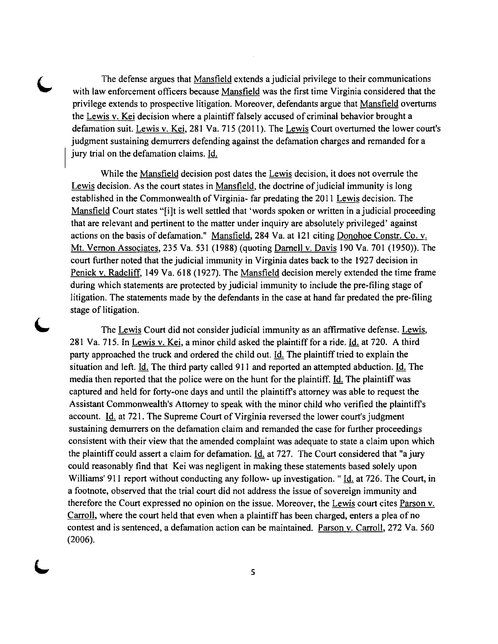The defense argues that Mansfield extends a judicial privilege to their communications with law enforcement officers because Mansfield was the first time Virginia considered that the privilege extends to prospective litigation. Moreover, defendants argue that Mansfield overturns the Lewis v. Kei decision where a plaintiff falsely accused of criminal behavior brought a defamation suit. Lewis v. Kei, 281 Va. 715 (2011). The Lewis Court overturned the lower court's judgment sustaining demurrers defending against the defamation charges and remanded for a jury trial on the defamation claims. Id.

While the Mansfield decision post dates the Lewis decision, it does not overrule the Lewis decision. As the court states in Mansfield, the doctrine of judicial immunity is long established in the Commonwealth of Virginia- far predating the 2011 Lewis decision. The Mansfield Court states "[i]t is well settled that 'words spoken or written in a judicial proceeding that are relevant and pertinent to the matter under inquiry are absolutely privileged' against actions on the basis of defamation." Mansfield, 284 Va. at 121 citing Donohoe Constr. Co. v. Mt. Vernon Associates, 235 Va. 531 (1988) (quoting Darnell v. Davis 190 Va. 701 (1950». The court further noted that the judicial immunity in Virginia dates back to the 1927 decision in Penick v. Radcliff, 149 Va. 618 (1927). The Mansfield decision merely extended the time frame during which statements are protected by judicial immunity to include the pre-filing stage of litigation. The statements made by the defendants in the case at hand far predated the pre-filing stage of litigation.

The Lewis Court did not consider judicial immunity as an affirmative defense. Lewis, 281 Va. 715. In Lewis v. Kei, a minor child asked the plaintiff for a ride. Id. at 720. A third party approached the truck and ordered the child out. Id. The plaintiff tried to explain the situation and left. Id. The third party called 911 and reported an attempted abduction. Id. The media then reported that the police were on the hunt for the plaintiff. Id. The plaintiff was captured and held for forty-one days and until the plaintiff's attorney was able to request the Assistant Commonwealth's Attorney to speak with the minor child who verified the plaintiff's account. Id. at 721. The Supreme Court of Virginia reversed the lower court's judgment sustaining demurrers on the defamation claim and remanded the case for further proceedings consistent with their view that the amended complaint was adequate to state a claim upon which the plaintiff could assert a claim for defamation. Id. at 727. The Court considered that "a jury could reasonably find that Kei was negligent in making these statements based solely upon Williams' 911 report without conducting any follow- up investigation. " Id. at 726. The Court, in a footnote, observed that the trial court did not address the issue of sovereign immunity and therefore the Court expressed no opinion on the issue. Moreover, the Lewis court cites Parson v. Carroll, where the court held that even when a plaintiff has been charged, enters a plea of no contest and is sentenced, a defamation action can be maintained. Parson v. Carroll, 272 Va. 560 (2006).